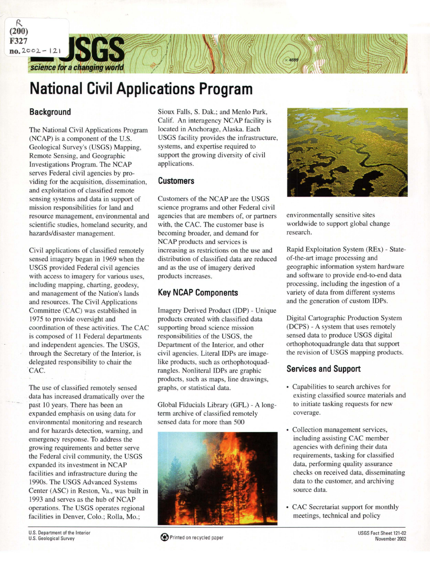science for a changing world

# **National Civil Applications Program**

### **Background**

*R.*  **(200) F327** 

 $no.2002 - 121$ 

The National Civil Applications Program (NCAP) is a component of the U.S. Geological Survey's (USGS) Mapping, Remote Sensing, and Geographic Investigations Program. The NCAP serves Federal civil agencies by providing for the acquisition, dissemination, and exploitation of classified remote sensing systems and data in support of mission responsibilities for land and resource management, environmental and scientific studies, homeland security, and hazards/disaster management.

Civil applications of classified remotely sensed imagery began in 1969 when the USGS provided Federal civil agencies with access to imagery for various uses, including mapping, charting, geodesy, and management of the Nation's lands and resources. The Civil Applications Committee (CAC) was established in 1975 to provide oversight and coordination of these activities. The CAC is composed of 11 Federal departments and independent agencies. The USGS, through the Secretary of the Interior, is delegated responsibility to chair the 'CAC.

The use of classified remotely sensed data has increased dramatically over the past 10 years. There has been an expanded emphasis on using data for environmental monitoring and research and for hazards detection, warning, and emergency response. To address the growing requirements and better serve the Federal civil community, the USGS expanded its investment in NCAP facilities and infrastructure during the 1990s. The USGS Advanced Systems Center (ASC) in Reston, Va., was built in 1993 and serves as the hub of NCAP operations. The USGS operates regional facilities in Denver, Colo.; Rolla, Mo.;

Sioux Falls, S. Dak.; and Menlo Park, Calif. An interagency NCAP facility is located in Anchorage, Alaska. Each USGS facility provides the infrastructure, systems, and expertise required to support the growing diversity of civil applications.

#### **Customers**

Customers of the NCAP are the USGS science programs and other Federal civil agencies that are members of, or partners with, the CAC. The customer base is becoming broader, and demand for NCAP products and services is increasing as restrictions on the use and distribution of classified data are reduced and as the use of imagery derived products increases.

## **Key NCAP Components**

Imagery Derived Product (IDP)- Unique products created with classified data supporting broad science mission responsibilities of the USGS, the Department of the Interior, and other civil agencies. Literal IDPs are imagelike products, such as orthophotoquadrangles. Nonliteral IDPs are graphic products, such as maps, line drawings, graphs, or statistical data.

Global Fiducials Library (GFL) - A longterm archive of classified remotely sensed data for more than 500





environmentally sensitive sites worldwide to support global change research.

Rapid Exploitation System (REx) - Stateof-the-art image processing and geographic information system hardware and software to provide end-to-end data processing, including the ingestion of a variety of data from different systems and the generation of custom IDPs.

Digital Cartographic Production System (DCPS) - A system that uses remotely sensed data to produce USGS digital orthophotoquadrangle data that support the revision of USGS mapping products.

## **Services and Support**

- Capabilities to search archives for existing classified source materials and to initiate tasking requests for new coverage.
- Collection management services, including assisting CAC member agencies with defining their data requirements, tasking for classified data, performing quality assurance checks on received data, disseminating data to the customer, and archiving source data.
- CAC Secretariat support for monthly meetings, technical and policy

U.S. Department of the Interior U.S. Geological Survey

Printed on recycled paper